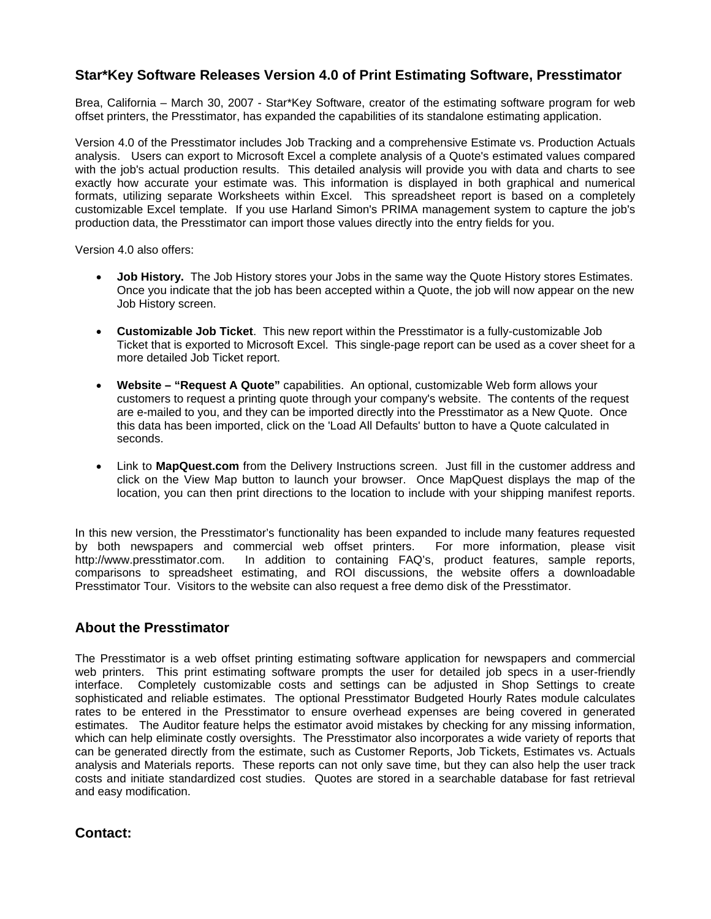## **Star\*Key Software Releases Version 4.0 of Print Estimating Software, Presstimator**

Brea, California – March 30, 2007 - Star\*Key Software, creator of the estimating software program for web offset printers, the Presstimator, has expanded the capabilities of its standalone estimating application.

Version 4.0 of the Presstimator includes Job Tracking and a comprehensive Estimate vs. Production Actuals analysis. Users can export to Microsoft Excel a complete analysis of a Quote's estimated values compared with the job's actual production results. This detailed analysis will provide you with data and charts to see exactly how accurate your estimate was. This information is displayed in both graphical and numerical formats, utilizing separate Worksheets within Excel. This spreadsheet report is based on a completely customizable Excel template. If you use Harland Simon's PRIMA management system to capture the job's production data, the Presstimator can import those values directly into the entry fields for you.

Version 4.0 also offers:

- **Job History.** The Job History stores your Jobs in the same way the Quote History stores Estimates. Once you indicate that the job has been accepted within a Quote, the job will now appear on the new Job History screen.
- **Customizable Job Ticket**. This new report within the Presstimator is a fully-customizable Job Ticket that is exported to Microsoft Excel. This single-page report can be used as a cover sheet for a more detailed Job Ticket report.
- **Website "Request A Quote"** capabilities. An optional, customizable Web form allows your customers to request a printing quote through your company's website. The contents of the request are e-mailed to you, and they can be imported directly into the Presstimator as a New Quote. Once this data has been imported, click on the 'Load All Defaults' button to have a Quote calculated in seconds.
- Link to **MapQuest.com** from the Delivery Instructions screen. Just fill in the customer address and click on the View Map button to launch your browser. Once MapQuest displays the map of the location, you can then print directions to the location to include with your shipping manifest reports.

In this new version, the Presstimator's functionality has been expanded to include many features requested by both newspapers and commercial web offset printers. For more information, please visit http://www.presstimator.com. In addition to containing FAQ's, product features, sample reports, comparisons to spreadsheet estimating, and ROI discussions, the website offers a downloadable Presstimator Tour. Visitors to the website can also request a free demo disk of the Presstimator.

## **About the Presstimator**

The Presstimator is a web offset printing estimating software application for newspapers and commercial web printers. This print estimating software prompts the user for detailed job specs in a user-friendly interface. Completely customizable costs and settings can be adjusted in Shop Settings to create sophisticated and reliable estimates. The optional Presstimator Budgeted Hourly Rates module calculates rates to be entered in the Presstimator to ensure overhead expenses are being covered in generated estimates. The Auditor feature helps the estimator avoid mistakes by checking for any missing information, which can help eliminate costly oversights. The Presstimator also incorporates a wide variety of reports that can be generated directly from the estimate, such as Customer Reports, Job Tickets, Estimates vs. Actuals analysis and Materials reports. These reports can not only save time, but they can also help the user track costs and initiate standardized cost studies. Quotes are stored in a searchable database for fast retrieval and easy modification.

**Contact:**